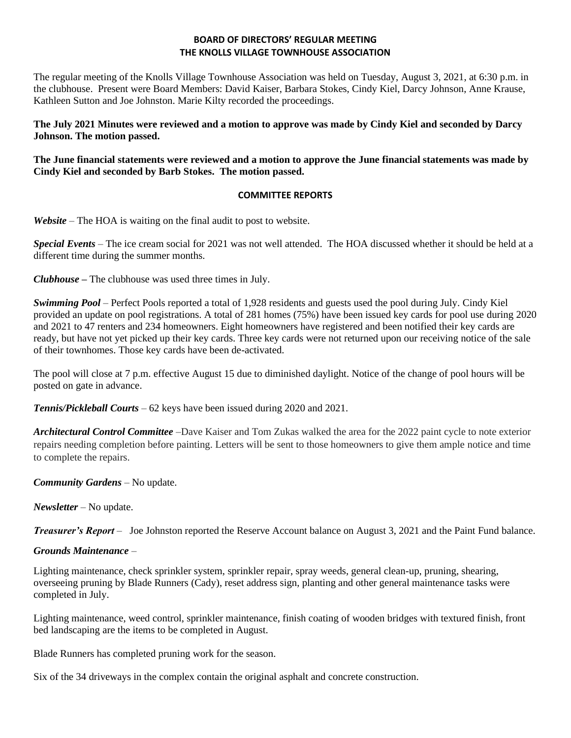# **BOARD OF DIRECTORS' REGULAR MEETING THE KNOLLS VILLAGE TOWNHOUSE ASSOCIATION**

The regular meeting of the Knolls Village Townhouse Association was held on Tuesday, August 3, 2021, at 6:30 p.m. in the clubhouse. Present were Board Members: David Kaiser, Barbara Stokes, Cindy Kiel, Darcy Johnson, Anne Krause, Kathleen Sutton and Joe Johnston. Marie Kilty recorded the proceedings.

**The July 2021 Minutes were reviewed and a motion to approve was made by Cindy Kiel and seconded by Darcy Johnson. The motion passed.**

**The June financial statements were reviewed and a motion to approve the June financial statements was made by Cindy Kiel and seconded by Barb Stokes. The motion passed.**

# **COMMITTEE REPORTS**

*Website –* The HOA is waiting on the final audit to post to website.

*Special Events* – The ice cream social for 2021 was not well attended. The HOA discussed whether it should be held at a different time during the summer months.

*Clubhouse* **–** The clubhouse was used three times in July.

*Swimming Pool* – Perfect Pools reported a total of 1,928 residents and guests used the pool during July. Cindy Kiel provided an update on pool registrations. A total of 281 homes (75%) have been issued key cards for pool use during 2020 and 2021 to 47 renters and 234 homeowners. Eight homeowners have registered and been notified their key cards are ready, but have not yet picked up their key cards. Three key cards were not returned upon our receiving notice of the sale of their townhomes. Those key cards have been de-activated.

The pool will close at 7 p.m. effective August 15 due to diminished daylight. Notice of the change of pool hours will be posted on gate in advance.

*Tennis/Pickleball Courts* – 62 keys have been issued during 2020 and 2021.

*Architectural Control Committee* –Dave Kaiser and Tom Zukas walked the area for the 2022 paint cycle to note exterior repairs needing completion before painting. Letters will be sent to those homeowners to give them ample notice and time to complete the repairs.

*Community Gardens* – No update.

*Newsletter* – No update.

*Treasurer's Report* – Joe Johnston reported the Reserve Account balance on August 3, 2021 and the Paint Fund balance.

# *Grounds Maintenance –*

Lighting maintenance, check sprinkler system, sprinkler repair, spray weeds, general clean-up, pruning, shearing, overseeing pruning by Blade Runners (Cady), reset address sign, planting and other general maintenance tasks were completed in July.

Lighting maintenance, weed control, sprinkler maintenance, finish coating of wooden bridges with textured finish, front bed landscaping are the items to be completed in August.

Blade Runners has completed pruning work for the season.

Six of the 34 driveways in the complex contain the original asphalt and concrete construction.